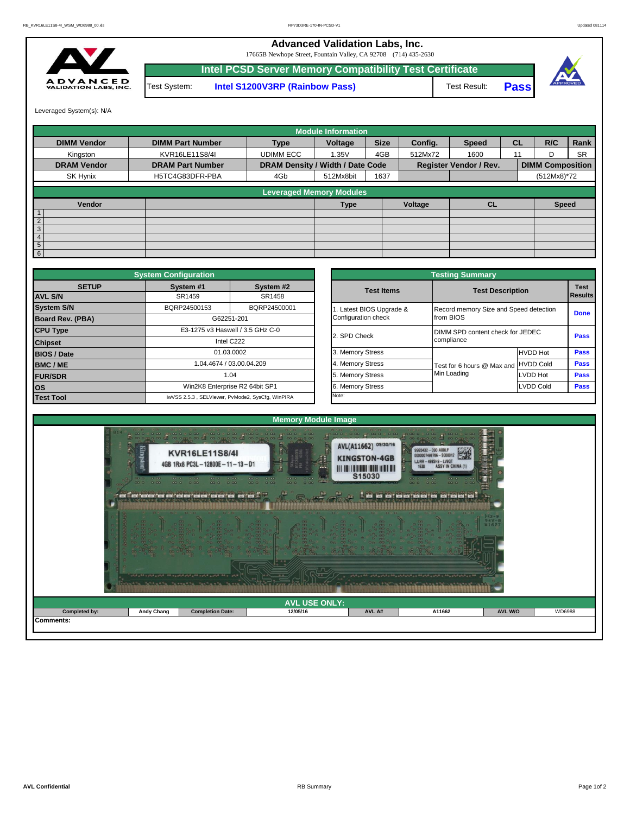## **Advanced Validation Labs, Inc.**

17665B Newhope Street, Fountain Valley, CA 92708 (714) 435-2630



**Intel PCSD Server Memory Compatibility Test Certificate** Test System: **Intel S1200V3RP (Rainbow Pass)** Test Result: **Pass**





Leveraged System(s): N/A

|                    |                         |                                  | <b>Module Information</b>       |             |         |                               |           |                         |           |
|--------------------|-------------------------|----------------------------------|---------------------------------|-------------|---------|-------------------------------|-----------|-------------------------|-----------|
| <b>DIMM Vendor</b> | <b>DIMM Part Number</b> | <b>Type</b>                      | Voltage                         | <b>Size</b> | Config. | <b>Speed</b>                  | <b>CL</b> | R/C                     | Rank      |
| Kingston           | KVR16LE11S8/4I          | <b>UDIMM ECC</b>                 | 1.35V                           | 4GB         | 512Mx72 | 1600                          | 11        |                         | <b>SR</b> |
| <b>DRAM Vendor</b> | <b>DRAM Part Number</b> | DRAM Density / Width / Date Code |                                 |             |         | <b>Register Vendor / Rev.</b> |           | <b>DIMM Composition</b> |           |
| SK Hynix           | H5TC4G83DFR-PBA         | 4Gb                              | 512Mx8bit                       | 1637        |         |                               |           | (512Mx8)*72             |           |
|                    |                         |                                  | <b>Leveraged Memory Modules</b> |             |         |                               |           |                         |           |
| Vendor             |                         |                                  | <b>Type</b>                     |             | Voltage | <b>CL</b>                     |           | <b>Speed</b>            |           |
|                    |                         |                                  |                                 |             |         |                               |           |                         |           |
| $\overline{2}$     |                         |                                  |                                 |             |         |                               |           |                         |           |
| 3 <sub>1</sub>     |                         |                                  |                                 |             |         |                               |           |                         |           |
| 4                  |                         |                                  |                                 |             |         |                               |           |                         |           |
| 5                  |                         |                                  |                                 |             |         |                               |           |                         |           |
| 6                  |                         |                                  |                                 |             |         |                               |           |                         |           |

|                                | <b>System Configuration</b>                |                                                  |              |                                  | <b>Testing Summary</b>               |                                        |             |  |  |  |
|--------------------------------|--------------------------------------------|--------------------------------------------------|--------------|----------------------------------|--------------------------------------|----------------------------------------|-------------|--|--|--|
| <b>SETUP</b><br><b>AVL S/N</b> | System #1<br>System #2<br>SR1458<br>SR1459 |                                                  |              | <b>Test Items</b>                | <b>Test Description</b>              | <b>Test</b><br>Results                 |             |  |  |  |
| <b>System S/N</b>              | BQRP24500153                               | BQRP24500001                                     |              | Latest BIOS Upgrade &            |                                      | Record memory Size and Speed detection |             |  |  |  |
| Board Rev. (PBA)               |                                            | G62251-201                                       |              | Configuration check              | from BIOS                            |                                        |             |  |  |  |
| <b>CPU Type</b>                | E3-1275 v3 Haswell / 3.5 GHz C-0           |                                                  | 2. SPD Check | DIMM SPD content check for JEDEC |                                      |                                        |             |  |  |  |
| <b>Chipset</b>                 | Intel C222                                 |                                                  |              |                                  | compliance                           |                                        |             |  |  |  |
| <b>BIOS / Date</b>             |                                            | 01.03.0002                                       |              | 3. Memory Stress                 |                                      | <b>HVDD Hot</b>                        | <b>Pass</b> |  |  |  |
| <b>BMC/ME</b>                  |                                            | 1.04.4674 / 03.00.04.209                         |              | 4. Memory Stress                 | Test for 6 hours @ Max and HVDD Cold |                                        | <b>Pass</b> |  |  |  |
| <b>FUR/SDR</b>                 |                                            | 1.04                                             |              | 5. Memory Stress                 | Min Loading                          | <b>LVDD Hot</b>                        | Pass        |  |  |  |
| <b>los</b>                     |                                            | Win2K8 Enterprise R2 64bit SP1                   |              | 6. Memory Stress                 |                                      | <b>LVDD Cold</b>                       | <b>Pass</b> |  |  |  |
| <b>Test Tool</b>               |                                            | iwVSS 2.5.3, SELViewer, PvMode2, SysCfg, WinPIRA |              | Note:                            |                                      |                                        |             |  |  |  |

|              | <b>System Configuration</b>    |                                                  |                       | <b>Testing Summary</b>                 |                  |                                                                                                    |  |  |
|--------------|--------------------------------|--------------------------------------------------|-----------------------|----------------------------------------|------------------|----------------------------------------------------------------------------------------------------|--|--|
| <b>SETUP</b> | System #1                      | System #2                                        | <b>Test Items</b>     | <b>Test Description</b>                |                  |                                                                                                    |  |  |
|              | SR1459                         | SR1458                                           |                       |                                        |                  |                                                                                                    |  |  |
|              | BQRP24500153                   | BQRP24500001                                     | Latest BIOS Upgrade & | Record memory Size and Speed detection |                  |                                                                                                    |  |  |
| PBA)         | G62251-201                     |                                                  | Configuration check   | from BIOS                              |                  |                                                                                                    |  |  |
|              |                                | E3-1275 v3 Haswell / 3.5 GHz C-0                 | 2. SPD Check          | DIMM SPD content check for JEDEC       |                  |                                                                                                    |  |  |
|              |                                | Intel C222                                       |                       | compliance                             |                  |                                                                                                    |  |  |
|              | 01.03.0002                     |                                                  | 3. Memory Stress      |                                        | <b>HVDD Hot</b>  |                                                                                                    |  |  |
|              |                                | 1.04.4674 / 03.00.04.209                         | 4. Memory Stress      | Test for 6 hours @ Max and HVDD Cold   |                  |                                                                                                    |  |  |
|              |                                | 1.04                                             | 5. Memory Stress      | Min Loading                            | <b>LVDD Hot</b>  |                                                                                                    |  |  |
|              | Win2K8 Enterprise R2 64bit SP1 |                                                  | 6. Memory Stress      |                                        | <b>LVDD Cold</b> | <b>Test</b><br><b>Results</b><br><b>Done</b><br><b>Pass</b><br>Pass<br>Pass<br>Pass<br><b>Pass</b> |  |  |
|              |                                | iwVSS 2.5.3, SELViewer, PvMode2, SysCfg, WinPIRA | Note:                 |                                        |                  |                                                                                                    |  |  |